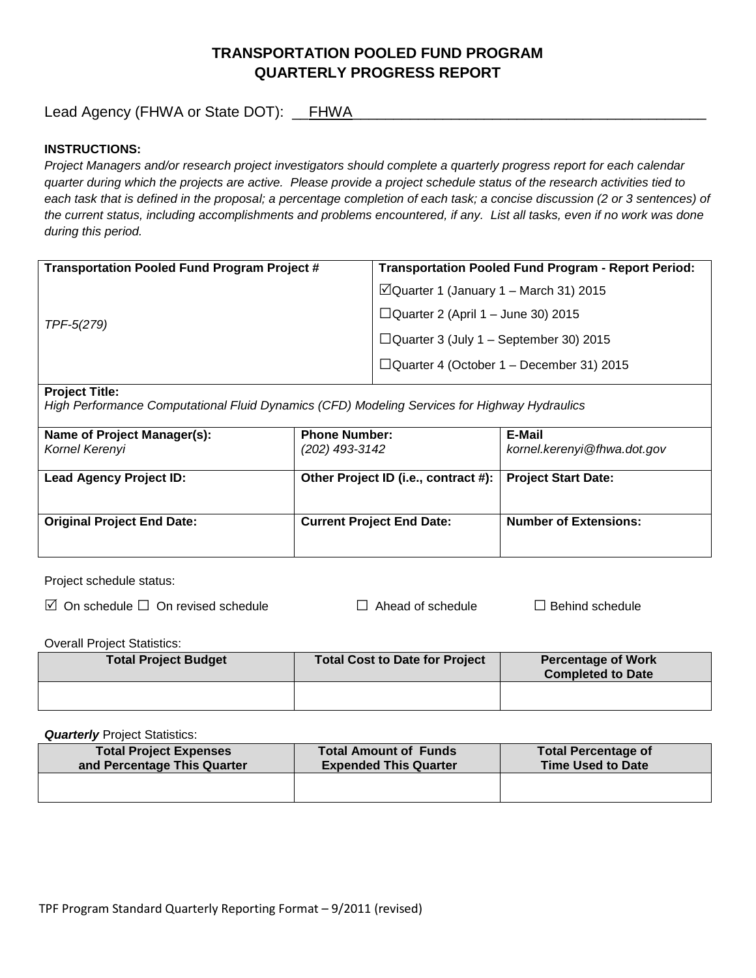# **TRANSPORTATION POOLED FUND PROGRAM QUARTERLY PROGRESS REPORT**

Lead Agency (FHWA or State DOT): \_\_FHWA\_\_\_\_\_\_\_\_\_\_\_\_\_\_\_\_\_\_\_\_\_\_\_\_\_\_\_\_\_\_\_\_\_\_\_\_\_\_\_\_\_\_\_

## **INSTRUCTIONS:**

*Project Managers and/or research project investigators should complete a quarterly progress report for each calendar quarter during which the projects are active. Please provide a project schedule status of the research activities tied to*  each task that is defined in the proposal; a percentage completion of each task; a concise discussion (2 or 3 sentences) of *the current status, including accomplishments and problems encountered, if any. List all tasks, even if no work was done during this period.*

| <b>Transportation Pooled Fund Program Project #</b> | <b>Transportation Pooled Fund Program - Report Period:</b> |  |
|-----------------------------------------------------|------------------------------------------------------------|--|
| TPF-5(279)                                          | $\Box$ Quarter 1 (January 1 – March 31) 2015               |  |
|                                                     | $\Box$ Quarter 2 (April 1 – June 30) 2015                  |  |
|                                                     | $\Box$ Quarter 3 (July 1 – September 30) 2015              |  |
|                                                     | $\Box$ Quarter 4 (October 1 – December 31) 2015            |  |
|                                                     |                                                            |  |

#### **Project Title:**

*High Performance Computational Fluid Dynamics (CFD) Modeling Services for Highway Hydraulics*

| Name of Project Manager(s):<br>Kornel Kerenyi | <b>Phone Number:</b><br>(202) 493-3142 | E-Mail<br>kornel.kerenyi@fhwa.dot.gov |
|-----------------------------------------------|----------------------------------------|---------------------------------------|
| <b>Lead Agency Project ID:</b>                | Other Project ID (i.e., contract #):   | <b>Project Start Date:</b>            |
| <b>Original Project End Date:</b>             | <b>Current Project End Date:</b>       | <b>Number of Extensions:</b>          |

Project schedule status:

On schedule □ On revised schedule □ Ahead of schedule □ Behind schedule

Overall Project Statistics:

| <b>Total Project Budget</b> | <b>Total Cost to Date for Project</b> | <b>Percentage of Work</b><br><b>Completed to Date</b> |
|-----------------------------|---------------------------------------|-------------------------------------------------------|
|                             |                                       |                                                       |

**Quarterly** Project Statistics:

| <b>Total Project Expenses</b><br>and Percentage This Quarter | <b>Total Amount of Funds</b><br><b>Expended This Quarter</b> | <b>Total Percentage of</b><br><b>Time Used to Date</b> |
|--------------------------------------------------------------|--------------------------------------------------------------|--------------------------------------------------------|
|                                                              |                                                              |                                                        |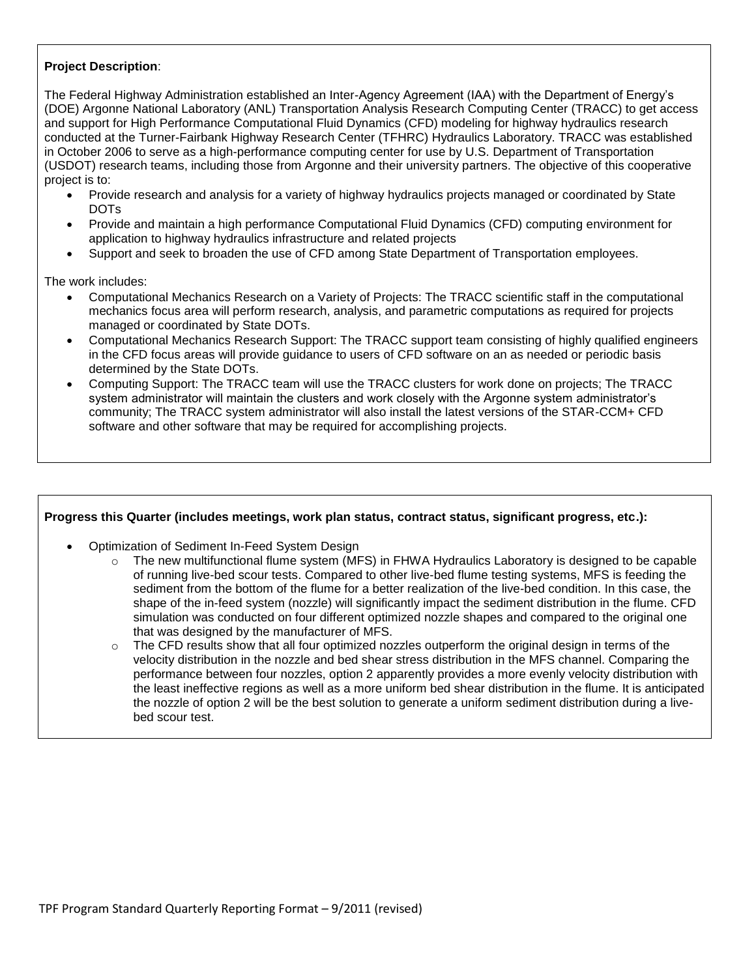## **Project Description**:

The Federal Highway Administration established an Inter-Agency Agreement (IAA) with the Department of Energy's (DOE) Argonne National Laboratory (ANL) Transportation Analysis Research Computing Center (TRACC) to get access and support for High Performance Computational Fluid Dynamics (CFD) modeling for highway hydraulics research conducted at the Turner-Fairbank Highway Research Center (TFHRC) Hydraulics Laboratory. TRACC was established in October 2006 to serve as a high-performance computing center for use by U.S. Department of Transportation (USDOT) research teams, including those from Argonne and their university partners. The objective of this cooperative project is to:

- Provide research and analysis for a variety of highway hydraulics projects managed or coordinated by State DOTs
- Provide and maintain a high performance Computational Fluid Dynamics (CFD) computing environment for application to highway hydraulics infrastructure and related projects
- Support and seek to broaden the use of CFD among State Department of Transportation employees.

The work includes:

- Computational Mechanics Research on a Variety of Projects: The TRACC scientific staff in the computational mechanics focus area will perform research, analysis, and parametric computations as required for projects managed or coordinated by State DOTs.
- Computational Mechanics Research Support: The TRACC support team consisting of highly qualified engineers in the CFD focus areas will provide guidance to users of CFD software on an as needed or periodic basis determined by the State DOTs.
- Computing Support: The TRACC team will use the TRACC clusters for work done on projects; The TRACC system administrator will maintain the clusters and work closely with the Argonne system administrator's community; The TRACC system administrator will also install the latest versions of the STAR-CCM+ CFD software and other software that may be required for accomplishing projects.

#### **Progress this Quarter (includes meetings, work plan status, contract status, significant progress, etc.):**

- Optimization of Sediment In-Feed System Design
	- o The new multifunctional flume system (MFS) in FHWA Hydraulics Laboratory is designed to be capable of running live-bed scour tests. Compared to other live-bed flume testing systems, MFS is feeding the sediment from the bottom of the flume for a better realization of the live-bed condition. In this case, the shape of the in-feed system (nozzle) will significantly impact the sediment distribution in the flume. CFD simulation was conducted on four different optimized nozzle shapes and compared to the original one that was designed by the manufacturer of MFS.
	- $\circ$  The CFD results show that all four optimized nozzles outperform the original design in terms of the velocity distribution in the nozzle and bed shear stress distribution in the MFS channel. Comparing the performance between four nozzles, option 2 apparently provides a more evenly velocity distribution with the least ineffective regions as well as a more uniform bed shear distribution in the flume. It is anticipated the nozzle of option 2 will be the best solution to generate a uniform sediment distribution during a livebed scour test.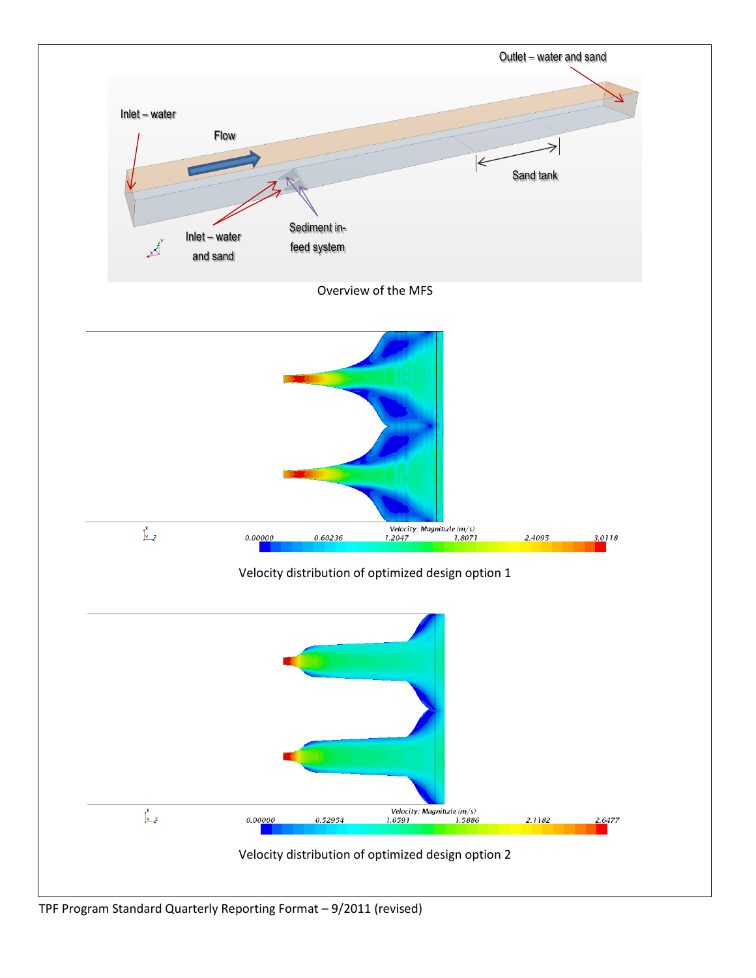

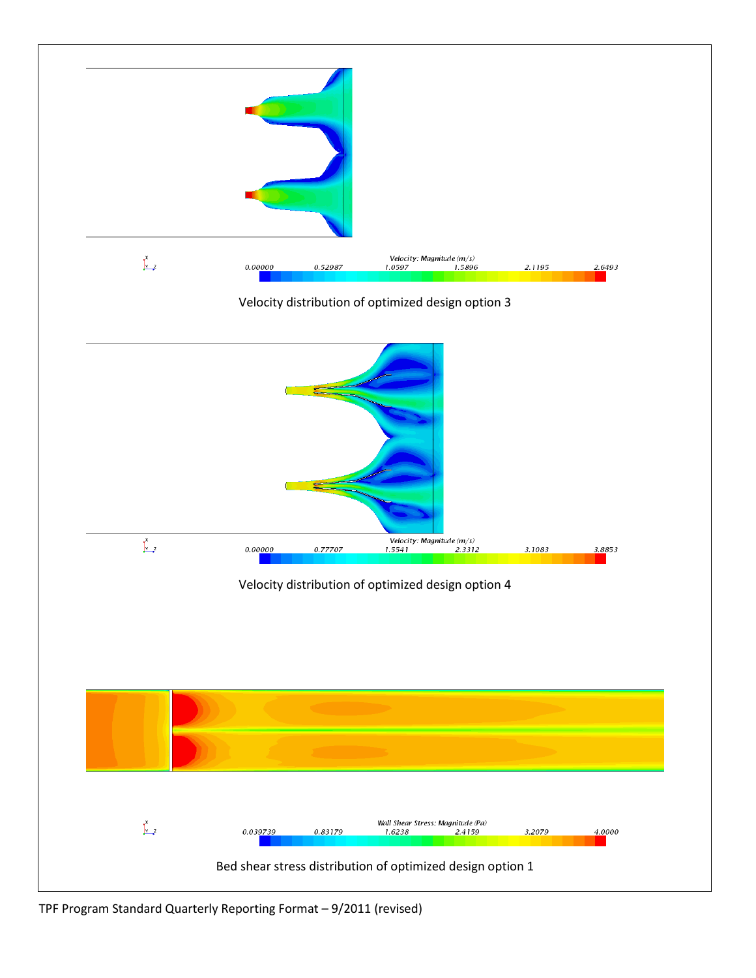

TPF Program Standard Quarterly Reporting Format – 9/2011 (revised)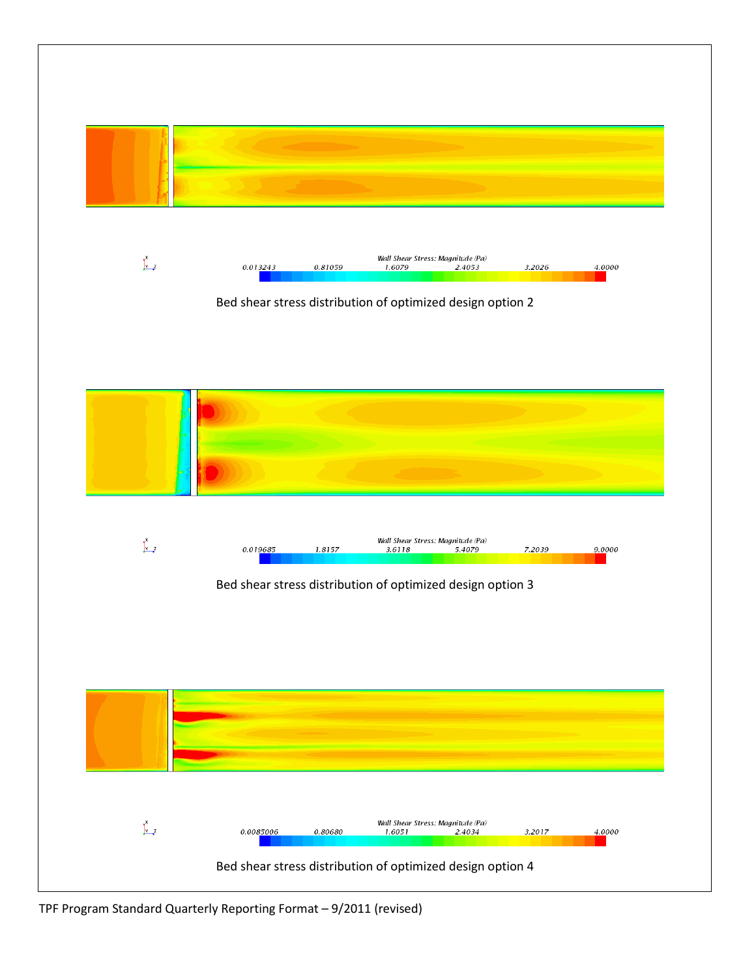

TPF Program Standard Quarterly Reporting Format – 9/2011 (revised)